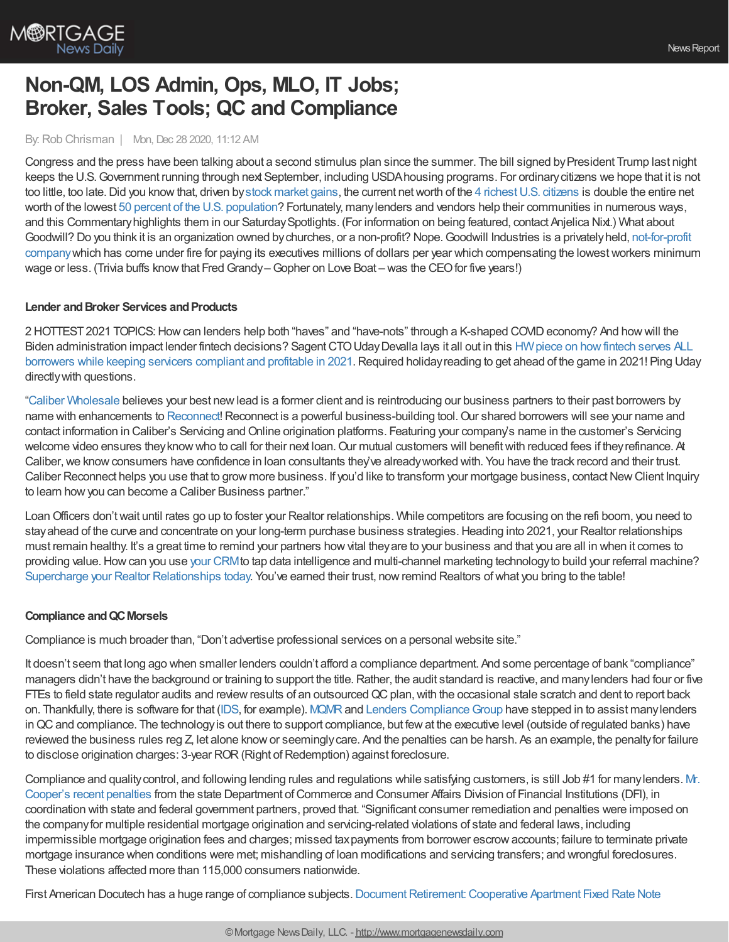

# **Non-QM, LOS Admin, Ops, MLO, IT Jobs; Broker, Sales Tools; QC and Compliance**

By:Rob Chrisman | Mon, Dec 28 2020, 11:12 AM

Congress and the press have been talking about a second stimulus plan since the summer. The bill signed by President Trump last night keeps the U.S.Government running through next September, including USDAhousing programs. For ordinarycitizens we hope that it is not too little, too late. Did you know that, driven by stock [market](https://www.npr.org/2020/12/09/944739703/soaring-stock-market-creates-a-club-of-centibillionaires) gains, the current net worth of the 4 richest U.S. citizens is double the entire net worth of the lowest 50 percent of the U.S. [population](https://en.wikipedia.org/wiki/Wealth_inequality_in_the_United_States)? Fortunately, manylenders and vendors help their communities in numerous ways, and this Commentaryhighlights them in our SaturdaySpotlights. (For information on being featured, contact Anjelica Nixt.) What about Goodwill? Do you think it is an organization owned bychurches, or a non-profit? [Nope.Goodwill](https://en.wikipedia.org/wiki/Goodwill_Industries) Industries is a privatelyheld, not-for-profit companywhich has come under fire for paying its executives millions of dollars per year which compensating the lowestworkers minimum wage or less. (Trivia buffs know that Fred Grandy–Gopher on Love Boat – was the CEO for five years!)

# **Lender and Broker Services and Products**

2 HOTTEST 2021 TOPICS: How can lenders help both "haves" and "have-nots" through a K-shaped COVID economy? And how will the Biden administration impact lender fintech decisions? Sagent CTO Uday Devalla lays it all out in this HW piece on how fintech serves ALL borrowers while keeping servicers compliant and profitable in 2021. Required holiday reading to get ahead of the game in 2021! Ping Uday directlywith questions.

"Caliber [Wholesale](https://wholesale.caliberhomeloans.com/grow-your-business/caliber-reconnect/) believes your best newlead is a former client and is reintroducing our business partners to their past borrowers by name with enhancements to [Reconnect](https://wholesale.caliberhomeloans.com/grow-your-business/caliber-reconnect/)! Reconnect is a powerful business-building tool. Our shared borrowers will see your name and contact information in Caliber's Servicing and Online origination platforms. Featuring your company's name in the customer's Servicing welcome video ensures they know who to call for their next loan. Our mutual customers will benefit with reduced fees if they refinance. At Caliber, we know consumers have confidence in loan consultants they've already worked with. You have the track record and their trust. Caliber Reconnect helps you use that to grow more business. If you'd like to transform your mortgage business, contact New Client Inquiry to learn howyou can become a Caliber Business partner."

LoanOfficers don'twait until rates go up to foster your Realtor relationships. While competitors are focusing on the refi boom, you need to stay ahead of the curve and concentrate on your long-term purchase business strategies. Heading into 2021, your Realtor relationships must remain healthy. It's a great time to remind your partners howvital theyare to your business and that you are all in when it comes to providing value. How can you use your [CRM](https://bit.ly/2ILZqpY) to tap data intelligence and multi-channel marketing technology to build your referral machine? Supercharge your Realtor [Relationships](https://bit.ly/2ZfDlFm) today. You've earned their trust, now remind Realtors of what you bring to the table!

### **Compliance andQCMorsels**

Compliance is much broader than, "Don't advertise professional services on a personal website site."

It doesn't seem that long ago when smaller lenders couldn't afford a compliance department. And some percentage of bank "compliance" managers didn't have the background or training to support the title. Rather, the audit standard is reactive, and many lenders had four or five FTEs to field state regulator audits and review results of an outsourced QC plan, with the occasional stale scratch and dent to report back on. Thankfully, there is software for that [\(IDS](https://info.idsdoc.com/), for example). [MQMR](https://www.mqmresearch.com/) and Lenders Compliance Group have stepped in to assist many lenders inQCand compliance. The technologyis out there to support compliance, but fewat the executive level (outside of regulated banks) have reviewed the business rules reg Z, let alone know or seemingly care. And the penalties can be harsh. As an example, the penalty for failure to disclose origination charges: 3-year ROR (Right of Redemption) against foreclosure.

Compliance and quality control, and following lending rules and regulations while satisfying customers, is still Job #1 for many lenders. M. Cooper's recent penalties from the state Department of Commerce and Consumer Affairs Division of Financial Institutions (DFI), in coordination with state and federal government partners, proved that. "Significant consumer remediation and penalties were imposed on the companyfor multiple residential mortgage origination and servicing-related violations of state and federal laws, including impermissible mortgage origination fees and charges; missed taxpayments from borrower escrowaccounts; failure to terminate private mortgage insurance when conditions were met; mishandling of loan modifications and servicing transfers; and wrongful foreclosures. These violations affected more than 115,000 consumers nationwide.

First American Docutech has a huge range of compliance subjects. Document Retirement: Cooperative Apartment Fixed Rate Note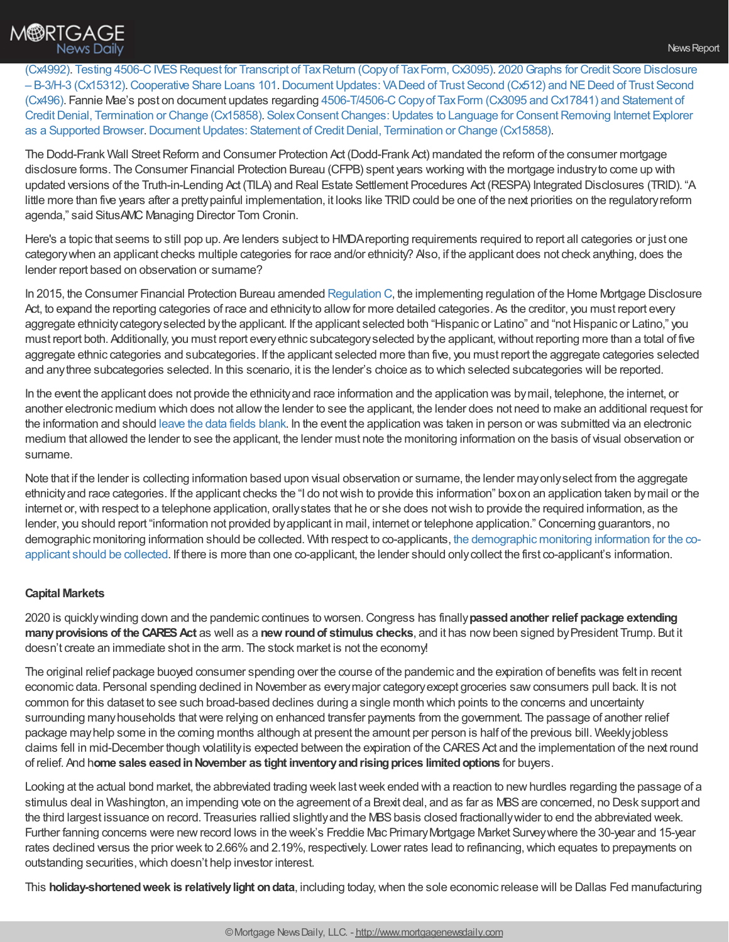

(Cx4992). Testing 4506-C IVES Request for Transcript of Tax Return (Copy of Tax Form, Cx3095). 2020 Graphs for Credit Score Disclosure – B-3/H-3 (Cx15312).[Cooperative](https://info.docutech.com/e2t/tc/VW8c1K6TDsktW8HYNG543PCfPW8cYYgJ4kX3HcMLtlVG3lGnpV1-WJV7CgSxqW2yc4QQ7sKXsqW48DWXn8jwmWMW72yvvG2nX1CkN62_6ZqmP4WLW6-CpfH8WZz3JW9bs4Rb6CPJ0YW4W40vf6lWpm8W6MC5Ll6PYhvWW29FH-36p55JTN1918GjYP2Z1W4_zlG36Pf6_QW2h2bPL19wSwNW5s3B3_5NBnPWW7vFB-c3f2VPdW2QhBVT5V64zwVrD-7-7dyCW_W4fjYfm5LQM-GW7WfDx-4DHQJ2W3KwC0F7-yKKVW3WwsjR8GJ1KqN1bZv3gjxsNrW90ZYZh1xQmtBN6PBknzCsFsMVDrkvH4pmqz0W2BZDLQ8NNJG7W96F-jt2C8VB333Dk1) Share Loans [101.DocumentUpdates:](https://info.docutech.com/e2t/tc/VW8c1K6TDsktW8HYNG543PCfPW8cYYgJ4kX3HcMLtlT95kbT5V3Zsc37CgV39W1pBpdF348gwwW2_HbrD2XP5BVW7TplPl602YJBW58c_vd8QnfkgW333-bC4nRkPGW82RDBL89V04hW1rKB_c3qcNRVW7Zpp912nH6sbW7dYzZ13HHmQyN5TlXHHT0X6nW3ZZG0H3rtXhbW8nLv4y2MfNCNW99xtsh4pWWffW933K0454kMHrW655qC88CZkr7N59NFBWD47ZRW8Vd3sD8DlzcnW2_wP1M4Sxd6GVY270x1p7tfqW65lvJ119g2bPW2D367v6Pv-X6VrfvsF5JFsvvW6zbCBb6RstLdW1rsbzG3C29tKW3c5_zm744-dKW59fQK85sBp96W5Lf3Vg4mYFv7W623sZd2R56FrW5KPtYD462szCW86WstV2JcY88W8RPmvY3gYtQ1W2T2Cx06BspwZ3c6x1) VADeed of Trust Second (Cx512) and NEDeed of Trust Second (Cx496). Fannie Mae's post on document updates regarding 4506-T/4506-CCopyof TaxForm (Cx3095 and Cx17841) and Statement of Credit Denial, Termination or Change (Cx15858). Solex Consent Changes: Updates to Language for Consent Removing Internet Explorer as a Supported Browser. Document Updates: Statement of Credit Denial, Termination or Change (Cx15858).

The Dodd-Frank Wall Street Reform and Consumer Protection Act (Dodd-Frank Act) mandated the reform of the consumer mortgage disclosure forms. The Consumer Financial Protection Bureau (CFPB) spent years working with the mortgage industryto come up with updated versions of the Truth-in-Lending Act (TILA) and Real Estate Settlement Procedures Act (RESPA) Integrated Disclosures (TRID). "A little more than five years after a pretty painful implementation, it looks like TRID could be one of the next priorities on the regulatory reform agenda," said SitusAMC Managing Director Tom Cronin.

Here's a topic that seems to still pop up. Are lenders subject to HMDAreporting requirements required to report all categories or just one categorywhen an applicant checks multiple categories for race and/or ethnicity? Also, if the applicant does not check anything, does the lender report based on observation or surname?

In 2015, the Consumer Financial Protection Bureau amended [Regulation](https://files.consumerfinance.gov/f/documents/201701_cfpb_hmda_ethnicity-and-race-collection_v2.pdf) C, the implementing regulation of the Home Mortgage Disclosure Act, to expand the reporting categories of race and ethnicity to allow for more detailed categories. As the creditor, you must report every aggregate ethnicity category selected by the applicant. If the applicant selected both "Hispanic or Latino" and "not Hispanic or Latino," you must report both. Additionally, you must report every ethnic subcategory selected by the applicant, without reporting more than a total of five aggregate ethnic categories and subcategories. If the applicant selected more than five, you must report the aggregate categories selected and anythree subcategories selected. In this scenario, it is the lender's choice as to which selected subcategories will be reported.

In the event the applicant does not provide the ethnicityand race information and the application was bymail, telephone, the internet, or another electronic medium which does not allowthe lender to see the applicant, the lender does not need to make an additional request for the information and should leave the data fields [blank](https://www.consumerfinance.gov/rules-policy/regulations/1003/B/). In the event the application was taken in person or was submitted via an electronic medium that allowed the lender to see the applicant, the lender must note the monitoring information on the basis of visual observation or surname.

Note that if the lender is collecting information based upon visual observation or surname, the lender mayonlyselect from the aggregate ethnicityand race categories. If the applicant checks the "I do notwish to provide this information" boxon an application taken bymail or the internet or, with respect to a telephone application, orally states that he or she does not wish to provide the required information, as the lender, you should report "information not provided byapplicant in mail, internet or telephone application." Concerning guarantors, no demographic monitoring information should be collected. With respect to [co-applicants,](https://www.ffiec.gov/hmda/faqreg.htm) the demographic monitoring information for the coapplicant should be collected. If there is more than one co-applicant, the lender should onlycollect the first co-applicant's information.

### **Capital Markets**

2020 is quicklywinding down and the pandemic continues to worsen.Congress has finally**passedanother relief package extending manyprovisions of the CARESAct** as well as a **new roundof stimulus checks**, and it has nowbeen signed byPresident Trump. But it doesn't create an immediate shot in the arm. The stock market is not the economy!

The original relief package buoyed consumer spending over the course of the pandemic and the expiration of benefits was felt in recent economic data. Personal spending declined in November as everymajor categoryexcept groceries sawconsumers pull back. It is not common for this dataset to see such broad-based declines during a single month which points to the concerns and uncertainty surrounding manyhouseholds thatwere relying on enhanced transfer payments from the government. The passage of another relief package mayhelp some in the coming months although at present the amount per person is half of the previous bill. Weeklyjobless claims fell in mid-December though volatilityis expected between the expiration of the CARESAct and the implementation of the next round of relief. And h**ome sales easedinNovember as tight inventoryandrisingprices limitedoptions** for buyers.

Looking at the actual bond market, the abbreviated trading week last week ended with a reaction to new hurdles regarding the passage of a stimulus deal in Washington, an impending vote on the agreement of a Brexit deal, and as far as MBS are concerned, no Desk support and the third largest issuance on record. Treasuries rallied slightly and the MBS basis closed fractionally wider to end the abbreviated week. Further fanning concerns were newrecord lows in the week's Freddie Mac PrimaryMortgage Market Surveywhere the 30-year and 15-year rates declined versus the prior week to 2.66% and 2.19%, respectively. Lower rates lead to refinancing, which equates to prepayments on outstanding securities, which doesn't help investor interest.

This **holiday-shortenedweek is relativelylight ondata**, including today,when the sole economic release will be Dallas Fed manufacturing